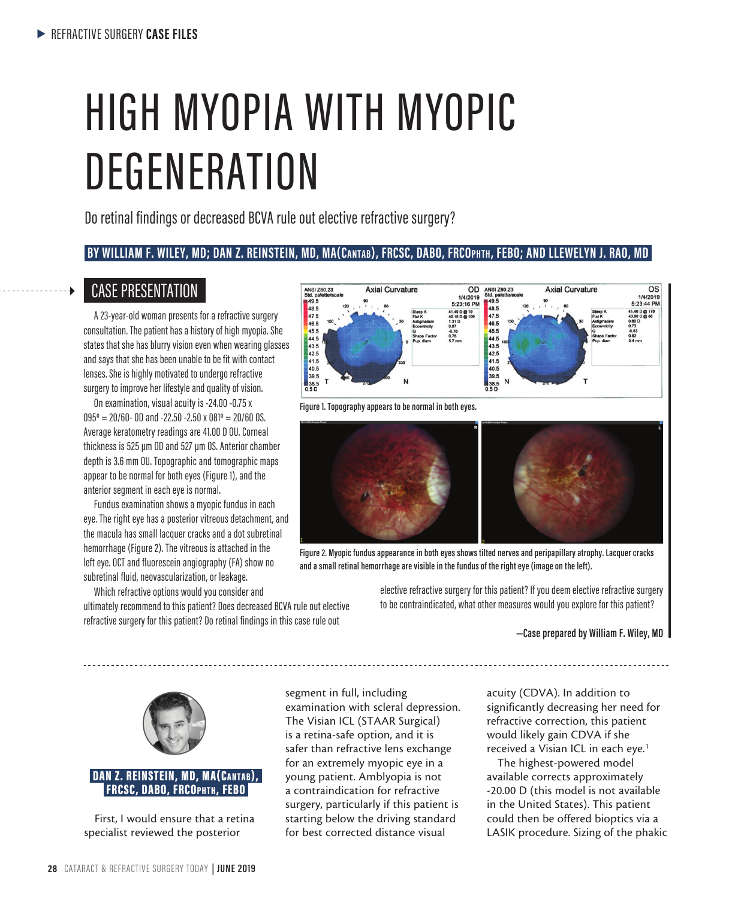# HIGH MYOPIA WITH MYOPIC **DEGENERATION**

Do retinal findings or decreased BCVA rule out elective refractive surgery?

### **BY WILLIAM F. WILEY, MD; DAN Z. REINSTEIN, MD, MA(Cantab), FRCSC, DABO, FRCOphth, FEBO; AND LLEWELYN J. RAO, MD**

### CASE PRESENTATION

A 23-year-old woman presents for a refractive surgery consultation. The patient has a history of high myopia. She states that she has blurry vision even when wearing glasses and says that she has been unable to be fit with contact lenses. She is highly motivated to undergo refractive surgery to improve her lifestyle and quality of vision.

On examination, visual acuity is -24.00 -0.75 x  $095^{\circ} = 20/60$ - 0D and -22.50 -2.50 x 081° = 20/60 0S. Average keratometry readings are 41.00 D OU. Corneal thickness is 525 µm OD and 527 µm OS. Anterior chamber depth is 3.6 mm OU. Topographic and tomographic maps appear to be normal for both eyes (Figure 1), and the anterior segment in each eye is normal.

Fundus examination shows a myopic fundus in each eye. The right eye has a posterior vitreous detachment, and the macula has small lacquer cracks and a dot subretinal hemorrhage (Figure 2). The vitreous is attached in the left eye. OCT and fluorescein angiography (FA) show no subretinal fluid, neovascularization, or leakage.

Which refractive options would you consider and ultimately recommend to this patient? Does decreased BCVA rule out elective refractive surgery for this patient? Do retinal findings in this case rule out



**Figure 1. Topography appears to be normal in both eyes.**



**Figure 2. Myopic fundus appearance in both eyes shows tilted nerves and peripapillary atrophy. Lacquer cracks and a small retinal hemorrhage are visible in the fundus of the right eye (image on the left).** 

> elective refractive surgery for this patient? If you deem elective refractive surgery to be contraindicated, what other measures would you explore for this patient?

> > **—Case prepared by William F. Wiley, MD**



### DAN Z. REINSTEIN, MD, MA(Cantab), FRCSC, DABO, FRCOphth, FEBO

First, I would ensure that a retina specialist reviewed the posterior

segment in full, including examination with scleral depression. The Visian ICL (STAAR Surgical) is a retina-safe option, and it is safer than refractive lens exchange for an extremely myopic eye in a young patient. Amblyopia is not a contraindication for refractive surgery, particularly if this patient is starting below the driving standard for best corrected distance visual

acuity (CDVA). In addition to significantly decreasing her need for refractive correction, this patient would likely gain CDVA if she received a Visian ICL in each eye.<sup>1</sup>

The highest-powered model available corrects approximately -20.00 D (this model is not available in the United States). This patient could then be offered bioptics via a LASIK procedure. Sizing of the phakic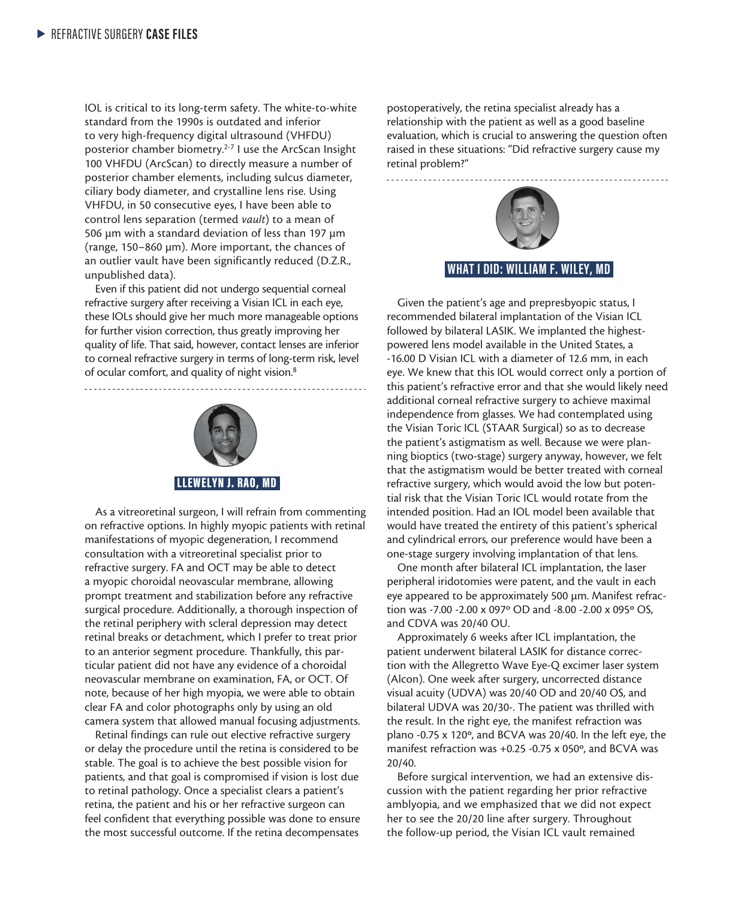IOL is critical to its long-term safety. The white-to-white standard from the 1990s is outdated and inferior to very high-frequency digital ultrasound (VHFDU) posterior chamber biometry.<sup>2-7</sup> I use the ArcScan Insight 100 VHFDU (ArcScan) to directly measure a number of posterior chamber elements, including sulcus diameter, ciliary body diameter, and crystalline lens rise. Using VHFDU, in 50 consecutive eyes, I have been able to control lens separation (termed *vault*) to a mean of 506 µm with a standard deviation of less than 197 µm (range, 150–860 µm). More important, the chances of an outlier vault have been significantly reduced (D.Z.R., unpublished data).

Even if this patient did not undergo sequential corneal refractive surgery after receiving a Visian ICL in each eye, these IOLs should give her much more manageable options for further vision correction, thus greatly improving her quality of life. That said, however, contact lenses are inferior to corneal refractive surgery in terms of long-term risk, level of ocular comfort, and quality of night vision.<sup>8</sup>



As a vitreoretinal surgeon, I will refrain from commenting on refractive options. In highly myopic patients with retinal manifestations of myopic degeneration, I recommend consultation with a vitreoretinal specialist prior to refractive surgery. FA and OCT may be able to detect a myopic choroidal neovascular membrane, allowing prompt treatment and stabilization before any refractive surgical procedure. Additionally, a thorough inspection of the retinal periphery with scleral depression may detect retinal breaks or detachment, which I prefer to treat prior to an anterior segment procedure. Thankfully, this particular patient did not have any evidence of a choroidal neovascular membrane on examination, FA, or OCT. Of note, because of her high myopia, we were able to obtain clear FA and color photographs only by using an old camera system that allowed manual focusing adjustments.

Retinal findings can rule out elective refractive surgery or delay the procedure until the retina is considered to be stable. The goal is to achieve the best possible vision for patients, and that goal is compromised if vision is lost due to retinal pathology. Once a specialist clears a patient's retina, the patient and his or her refractive surgeon can feel confident that everything possible was done to ensure the most successful outcome. If the retina decompensates

postoperatively, the retina specialist already has a relationship with the patient as well as a good baseline evaluation, which is crucial to answering the question often raised in these situations: "Did refractive surgery cause my retinal problem?"



Given the patient's age and prepresbyopic status, I recommended bilateral implantation of the Visian ICL followed by bilateral LASIK. We implanted the highestpowered lens model available in the United States, a -16.00 D Visian ICL with a diameter of 12.6 mm, in each eye. We knew that this IOL would correct only a portion of this patient's refractive error and that she would likely need additional corneal refractive surgery to achieve maximal independence from glasses. We had contemplated using the Visian Toric ICL (STAAR Surgical) so as to decrease the patient's astigmatism as well. Because we were planning bioptics (two-stage) surgery anyway, however, we felt that the astigmatism would be better treated with corneal refractive surgery, which would avoid the low but potential risk that the Visian Toric ICL would rotate from the intended position. Had an IOL model been available that would have treated the entirety of this patient's spherical and cylindrical errors, our preference would have been a one-stage surgery involving implantation of that lens.

One month after bilateral ICL implantation, the laser peripheral iridotomies were patent, and the vault in each eye appeared to be approximately 500 µm. Manifest refraction was -7.00 -2.00 x 097º OD and -8.00 -2.00 x 095º OS, and CDVA was 20/40 OU.

Approximately 6 weeks after ICL implantation, the patient underwent bilateral LASIK for distance correction with the Allegretto Wave Eye-Q excimer laser system (Alcon). One week after surgery, uncorrected distance visual acuity (UDVA) was 20/40 OD and 20/40 OS, and bilateral UDVA was 20/30-. The patient was thrilled with the result. In the right eye, the manifest refraction was plano -0.75 x 120º, and BCVA was 20/40. In the left eye, the manifest refraction was +0.25 -0.75 x 050º, and BCVA was 20/40.

Before surgical intervention, we had an extensive discussion with the patient regarding her prior refractive amblyopia, and we emphasized that we did not expect her to see the 20/20 line after surgery. Throughout the follow-up period, the Visian ICL vault remained